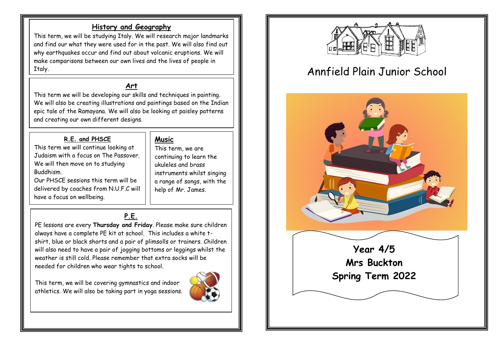## **History and Geography**

This term, we will be studying Italy. We will research major landmarks and find our what they were used for in the past. We will also find out why earthquakes occur and find out about volcanic eruptions. We will make comparisons between our own lives and the lives of people in Italy.

#### **Art**

This term we will be developing our skills and techniques in painting. We will also be creating illustrations and paintings based on the Indian epic tale of the Ramayana. We will also be looking at paisley patterns and creating our own different designs.

#### **R.E. and PHSCE**

This term we will continue looking at Judaism with a focus on The Passover. We will then move on to studying Buddhism. Our PHSCE sessions this term will be delivered by coaches from N.U.F.C will

have a focus on wellbeing.

# **Music**

This term, we are continuing to learn the ukuleles and brass instruments whilst singing a range of songs, with the help of Mr. James.

# **P.E.**

PE lessons are every **Thursday and Friday**. Please make sure children always have a complete PE kit at school. This includes a white tshirt, blue or black shorts and a pair of plimsolls or trainers. Children will also need to have a pair of jogging bottoms or leggings whilst the weather is still cold. Please remember that extra socks will be needed for children who wear tights to school.

This term, we will be covering gymnastics and indoor athletics. We will also be taking part in yoga sessions.





# Annfield Plain Junior School